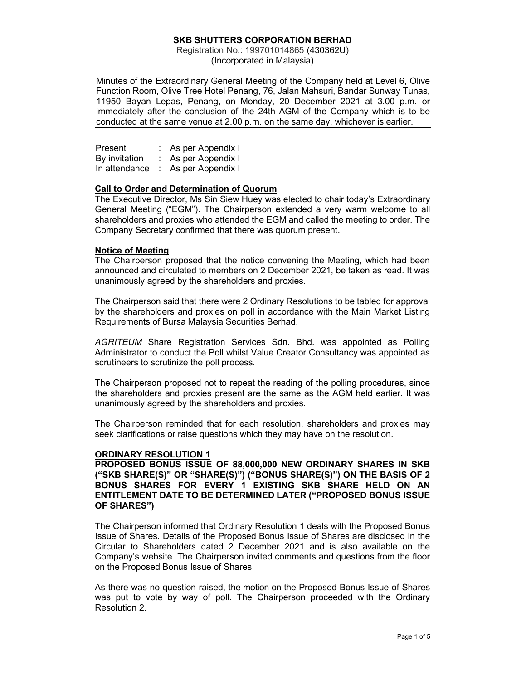# SKB SHUTTERS CORPORATION BERHAD

Registration No.: 199701014865 (430362U) (Incorporated in Malaysia)

Minutes of the Extraordinary General Meeting of the Company held at Level 6, Olive Function Room, Olive Tree Hotel Penang, 76, Jalan Mahsuri, Bandar Sunway Tunas, 11950 Bayan Lepas, Penang, on Monday, 20 December 2021 at 3.00 p.m. or immediately after the conclusion of the 24th AGM of the Company which is to be conducted at the same venue at 2.00 p.m. on the same day, whichever is earlier.

| Present       | As per Appendix I |
|---------------|-------------------|
| By invitation | As per Appendix I |
| In attendance | As per Appendix I |

## Call to Order and Determination of Quorum

The Executive Director, Ms Sin Siew Huey was elected to chair today's Extraordinary General Meeting ("EGM"). The Chairperson extended a very warm welcome to all shareholders and proxies who attended the EGM and called the meeting to order. The Company Secretary confirmed that there was quorum present.

#### Notice of Meeting

The Chairperson proposed that the notice convening the Meeting, which had been announced and circulated to members on 2 December 2021, be taken as read. It was unanimously agreed by the shareholders and proxies.

The Chairperson said that there were 2 Ordinary Resolutions to be tabled for approval by the shareholders and proxies on poll in accordance with the Main Market Listing Requirements of Bursa Malaysia Securities Berhad.

AGRITEUM Share Registration Services Sdn. Bhd. was appointed as Polling Administrator to conduct the Poll whilst Value Creator Consultancy was appointed as scrutineers to scrutinize the poll process.

The Chairperson proposed not to repeat the reading of the polling procedures, since the shareholders and proxies present are the same as the AGM held earlier. It was unanimously agreed by the shareholders and proxies.

The Chairperson reminded that for each resolution, shareholders and proxies may seek clarifications or raise questions which they may have on the resolution.

#### ORDINARY RESOLUTION 1

PROPOSED BONUS ISSUE OF 88,000,000 NEW ORDINARY SHARES IN SKB ("SKB SHARE(S)" OR "SHARE(S)") ("BONUS SHARE(S)") ON THE BASIS OF 2 BONUS SHARES FOR EVERY 1 EXISTING SKB SHARE HELD ON AN ENTITLEMENT DATE TO BE DETERMINED LATER ("PROPOSED BONUS ISSUE OF SHARES")

The Chairperson informed that Ordinary Resolution 1 deals with the Proposed Bonus Issue of Shares. Details of the Proposed Bonus Issue of Shares are disclosed in the Circular to Shareholders dated 2 December 2021 and is also available on the Company's website. The Chairperson invited comments and questions from the floor on the Proposed Bonus Issue of Shares.

As there was no question raised, the motion on the Proposed Bonus Issue of Shares was put to vote by way of poll. The Chairperson proceeded with the Ordinary Resolution 2.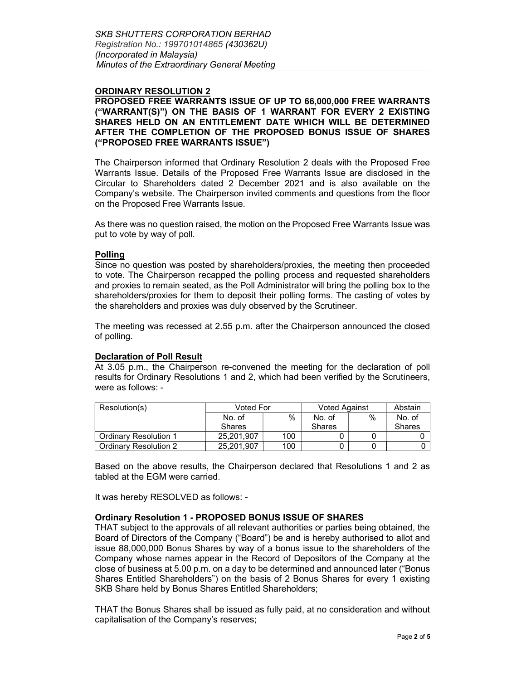## ORDINARY RESOLUTION 2

## PROPOSED FREE WARRANTS ISSUE OF UP TO 66,000,000 FREE WARRANTS ("WARRANT(S)") ON THE BASIS OF 1 WARRANT FOR EVERY 2 EXISTING SHARES HELD ON AN ENTITLEMENT DATE WHICH WILL BE DETERMINED AFTER THE COMPLETION OF THE PROPOSED BONUS ISSUE OF SHARES ("PROPOSED FREE WARRANTS ISSUE")

The Chairperson informed that Ordinary Resolution 2 deals with the Proposed Free Warrants Issue. Details of the Proposed Free Warrants Issue are disclosed in the Circular to Shareholders dated 2 December 2021 and is also available on the Company's website. The Chairperson invited comments and questions from the floor on the Proposed Free Warrants Issue.

As there was no question raised, the motion on the Proposed Free Warrants Issue was put to vote by way of poll.

#### Polling

Since no question was posted by shareholders/proxies, the meeting then proceeded to vote. The Chairperson recapped the polling process and requested shareholders and proxies to remain seated, as the Poll Administrator will bring the polling box to the shareholders/proxies for them to deposit their polling forms. The casting of votes by the shareholders and proxies was duly observed by the Scrutineer.

The meeting was recessed at 2.55 p.m. after the Chairperson announced the closed of polling.

#### Declaration of Poll Result

At 3.05 p.m., the Chairperson re-convened the meeting for the declaration of poll results for Ordinary Resolutions 1 and 2, which had been verified by the Scrutineers, were as follows: -

| Resolution(s)                | Voted For     |      | <b>Voted Against</b> |   | Abstain       |
|------------------------------|---------------|------|----------------------|---|---------------|
|                              | No. of        | $\%$ | No. of               | % | No. of        |
|                              | <b>Shares</b> |      | <b>Shares</b>        |   | <b>Shares</b> |
| <b>Ordinary Resolution 1</b> | 25.201.907    | 100  |                      |   |               |
| Ordinary Resolution 2        | 25.201.907    | 100  |                      |   |               |

Based on the above results, the Chairperson declared that Resolutions 1 and 2 as tabled at the EGM were carried.

It was hereby RESOLVED as follows: -

# Ordinary Resolution 1 - PROPOSED BONUS ISSUE OF SHARES

THAT subject to the approvals of all relevant authorities or parties being obtained, the Board of Directors of the Company ("Board") be and is hereby authorised to allot and issue 88,000,000 Bonus Shares by way of a bonus issue to the shareholders of the Company whose names appear in the Record of Depositors of the Company at the close of business at 5.00 p.m. on a day to be determined and announced later ("Bonus Shares Entitled Shareholders") on the basis of 2 Bonus Shares for every 1 existing SKB Share held by Bonus Shares Entitled Shareholders;

THAT the Bonus Shares shall be issued as fully paid, at no consideration and without capitalisation of the Company's reserves;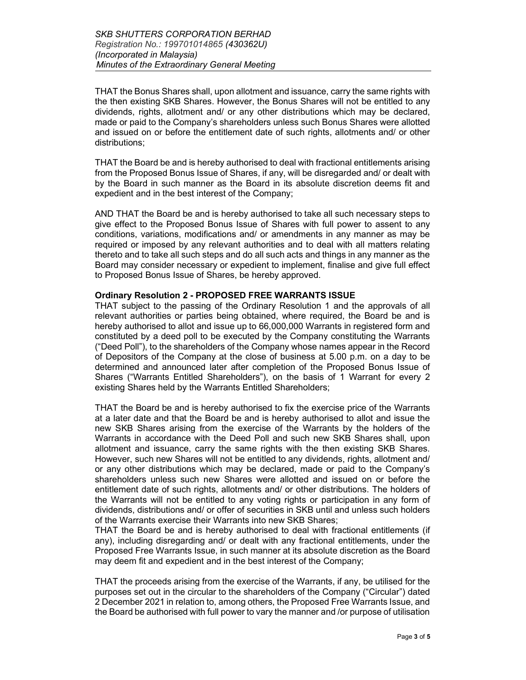THAT the Bonus Shares shall, upon allotment and issuance, carry the same rights with the then existing SKB Shares. However, the Bonus Shares will not be entitled to any dividends, rights, allotment and/ or any other distributions which may be declared, made or paid to the Company's shareholders unless such Bonus Shares were allotted and issued on or before the entitlement date of such rights, allotments and/ or other distributions;

THAT the Board be and is hereby authorised to deal with fractional entitlements arising from the Proposed Bonus Issue of Shares, if any, will be disregarded and/ or dealt with by the Board in such manner as the Board in its absolute discretion deems fit and expedient and in the best interest of the Company;

AND THAT the Board be and is hereby authorised to take all such necessary steps to give effect to the Proposed Bonus Issue of Shares with full power to assent to any conditions, variations, modifications and/ or amendments in any manner as may be required or imposed by any relevant authorities and to deal with all matters relating thereto and to take all such steps and do all such acts and things in any manner as the Board may consider necessary or expedient to implement, finalise and give full effect to Proposed Bonus Issue of Shares, be hereby approved.

## Ordinary Resolution 2 - PROPOSED FREE WARRANTS ISSUE

THAT subject to the passing of the Ordinary Resolution 1 and the approvals of all relevant authorities or parties being obtained, where required, the Board be and is hereby authorised to allot and issue up to 66,000,000 Warrants in registered form and constituted by a deed poll to be executed by the Company constituting the Warrants ("Deed Poll"), to the shareholders of the Company whose names appear in the Record of Depositors of the Company at the close of business at 5.00 p.m. on a day to be determined and announced later after completion of the Proposed Bonus Issue of Shares ("Warrants Entitled Shareholders"), on the basis of 1 Warrant for every 2 existing Shares held by the Warrants Entitled Shareholders;

THAT the Board be and is hereby authorised to fix the exercise price of the Warrants at a later date and that the Board be and is hereby authorised to allot and issue the new SKB Shares arising from the exercise of the Warrants by the holders of the Warrants in accordance with the Deed Poll and such new SKB Shares shall, upon allotment and issuance, carry the same rights with the then existing SKB Shares. However, such new Shares will not be entitled to any dividends, rights, allotment and/ or any other distributions which may be declared, made or paid to the Company's shareholders unless such new Shares were allotted and issued on or before the entitlement date of such rights, allotments and/ or other distributions. The holders of the Warrants will not be entitled to any voting rights or participation in any form of dividends, distributions and/ or offer of securities in SKB until and unless such holders of the Warrants exercise their Warrants into new SKB Shares;

THAT the Board be and is hereby authorised to deal with fractional entitlements (if any), including disregarding and/ or dealt with any fractional entitlements, under the Proposed Free Warrants Issue, in such manner at its absolute discretion as the Board may deem fit and expedient and in the best interest of the Company;

THAT the proceeds arising from the exercise of the Warrants, if any, be utilised for the purposes set out in the circular to the shareholders of the Company ("Circular") dated 2 December 2021 in relation to, among others, the Proposed Free Warrants Issue, and the Board be authorised with full power to vary the manner and /or purpose of utilisation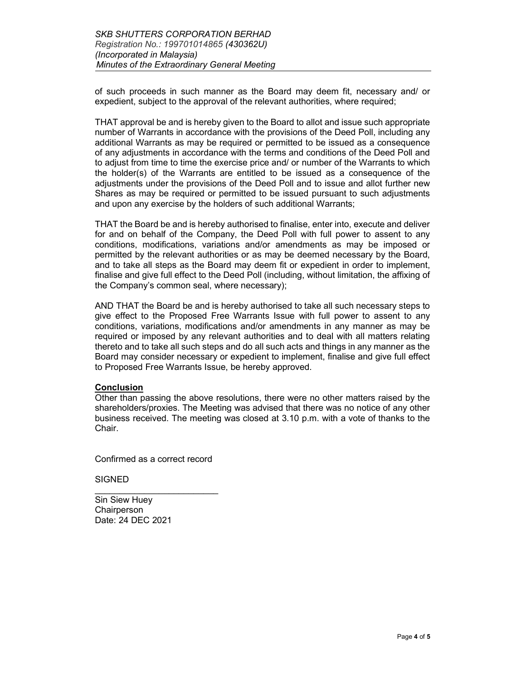of such proceeds in such manner as the Board may deem fit, necessary and/ or expedient, subject to the approval of the relevant authorities, where required;

THAT approval be and is hereby given to the Board to allot and issue such appropriate number of Warrants in accordance with the provisions of the Deed Poll, including any additional Warrants as may be required or permitted to be issued as a consequence of any adjustments in accordance with the terms and conditions of the Deed Poll and to adjust from time to time the exercise price and/ or number of the Warrants to which the holder(s) of the Warrants are entitled to be issued as a consequence of the adjustments under the provisions of the Deed Poll and to issue and allot further new Shares as may be required or permitted to be issued pursuant to such adjustments and upon any exercise by the holders of such additional Warrants;

THAT the Board be and is hereby authorised to finalise, enter into, execute and deliver for and on behalf of the Company, the Deed Poll with full power to assent to any conditions, modifications, variations and/or amendments as may be imposed or permitted by the relevant authorities or as may be deemed necessary by the Board, and to take all steps as the Board may deem fit or expedient in order to implement, finalise and give full effect to the Deed Poll (including, without limitation, the affixing of the Company's common seal, where necessary);

AND THAT the Board be and is hereby authorised to take all such necessary steps to give effect to the Proposed Free Warrants Issue with full power to assent to any conditions, variations, modifications and/or amendments in any manner as may be required or imposed by any relevant authorities and to deal with all matters relating thereto and to take all such steps and do all such acts and things in any manner as the Board may consider necessary or expedient to implement, finalise and give full effect to Proposed Free Warrants Issue, be hereby approved.

#### Conclusion

Other than passing the above resolutions, there were no other matters raised by the shareholders/proxies. The Meeting was advised that there was no notice of any other business received. The meeting was closed at 3.10 p.m. with a vote of thanks to the Chair.

Confirmed as a correct record

\_\_\_\_\_\_\_\_\_\_\_\_\_\_\_\_\_\_\_\_\_\_\_\_\_

**SIGNED** 

Sin Siew Huey **Chairperson** Date: 24 DEC 2021